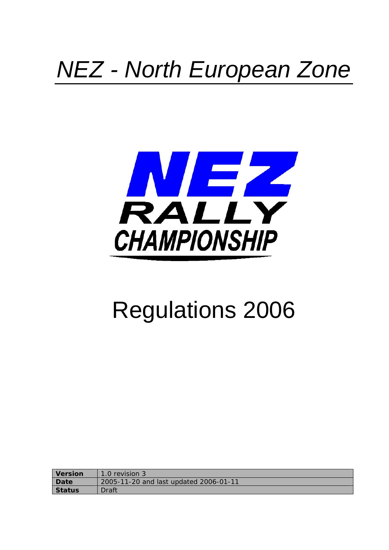## *NEZ - North European Zone*



# Regulations 2006

| <b>Version</b> | 1.0 revision 3                         |
|----------------|----------------------------------------|
| Date           | 2005-11-20 and last updated 2006-01-11 |
| <b>Status</b>  | Draft                                  |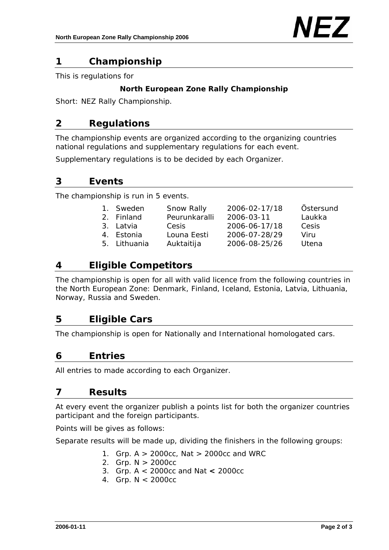## **1 Championship**

This is regulations for

#### **North European Zone Rally Championship**

Short: NEZ Rally Championship.

## **2 Regulations**

The championship events are organized according to the organizing countries national regulations and supplementary regulations for each event.

Supplementary regulations is to be decided by each Organizer.

## **3 Events**

The championship is run in 5 events.

| 1. Sweden    | Snow Rally    | 2006-02-17/18 | Östersund |
|--------------|---------------|---------------|-----------|
| 2. Finland   | Peurunkaralli | 2006-03-11    | Laukka    |
| 3. Latvia    | Cesis         | 2006-06-17/18 | Cesis     |
| 4. Estonia   | Louna Eesti   | 2006-07-28/29 | Viru      |
| 5. Lithuania | Auktaitija    | 2006-08-25/26 |           |

## **4 Eligible Competitors**

The championship is open for all with valid licence from the following countries in the North European Zone: Denmark, Finland, Iceland, Estonia, Latvia, Lithuania, Norway, Russia and Sweden.

## **5 Eligible Cars**

The championship is open for Nationally and International homologated cars.

## **6 Entries**

All entries to made according to each Organizer.

## **7 Results**

At every event the organizer publish a points list for both the organizer countries participant and the foreign participants.

Points will be gives as follows:

Separate results will be made up, dividing the finishers in the following groups:

- 1. Grp. A > 2000cc, Nat > 2000cc and WRC
- 2. Grp. N > 2000cc
- 3. Grp. A < 2000cc and Nat **<** 2000cc
- 4. Grp. N < 2000cc